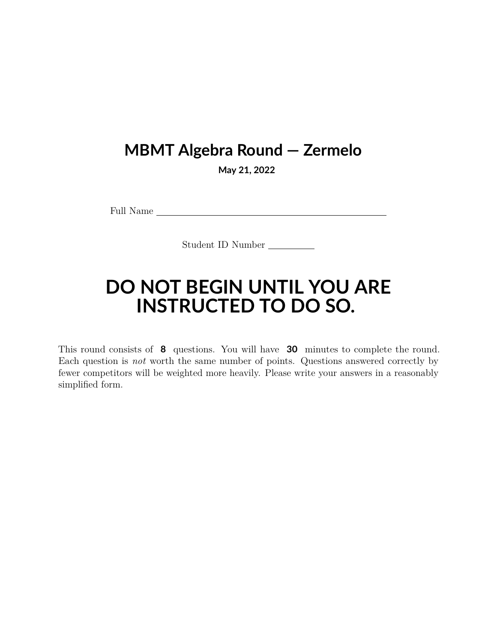## **MBMT Algebra Round — Zermelo**

**May 21, 2022**

Full Name

Student ID Number

## **DO NOT BEGIN UNTIL YOU ARE INSTRUCTED TO DO SO.**

This round consists of **8** questions. You will have **30** minutes to complete the round. Each question is *not* worth the same number of points. Questions answered correctly by fewer competitors will be weighted more heavily. Please write your answers in a reasonably simplified form.